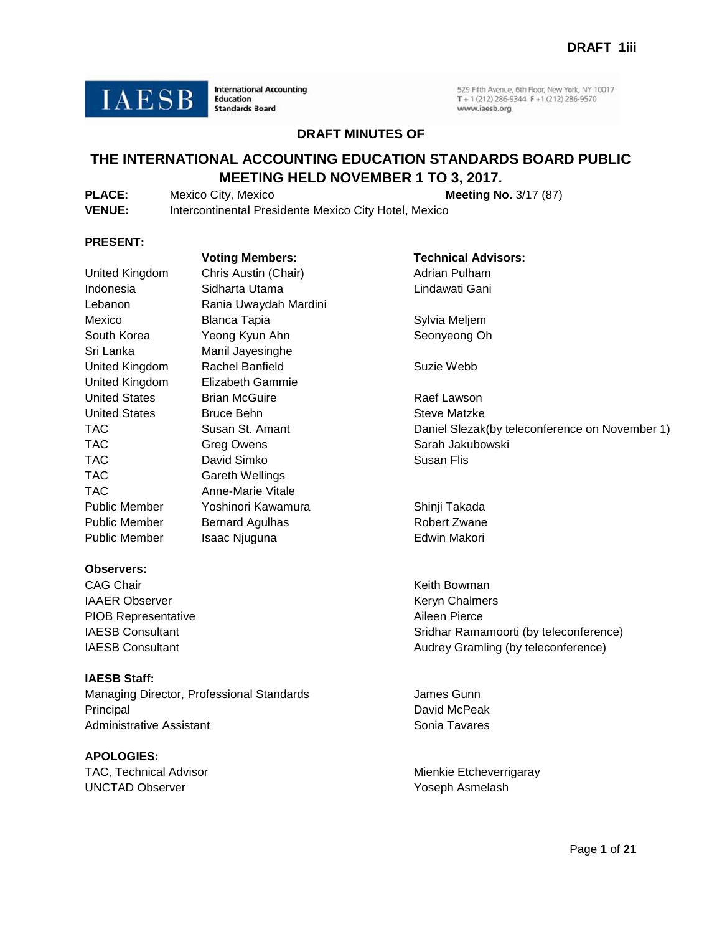**IAESB** 

**International Accounting Education Standards Board** 

529 Fifth Avenue, 6th Floor, New York, NY 10017 T + 1 (212) 286-9344 F + 1 (212) 286-9570 www.iaesb.org

### **DRAFT MINUTES OF**

## **THE INTERNATIONAL ACCOUNTING EDUCATION STANDARDS BOARD PUBLIC MEETING HELD NOVEMBER 1 TO 3, 2017.**

| <b>PLACE:</b> | Mexico City, Mexico                                   | <b>Meeting No. 3/17 (87)</b> |
|---------------|-------------------------------------------------------|------------------------------|
| <b>VENUE:</b> | Intercontinental Presidente Mexico City Hotel, Mexico |                              |

#### **PRESENT:**

|                      | voting members:         |  |  |
|----------------------|-------------------------|--|--|
| United Kingdom       | Chris Austin (Chair)    |  |  |
| Indonesia            | Sidharta Utama          |  |  |
| Lebanon              | Rania Uwaydah Mardini   |  |  |
| Mexico               | Blanca Tapia            |  |  |
| South Korea          | Yeong Kyun Ahn          |  |  |
| Sri Lanka            | Manil Jayesinghe        |  |  |
| United Kingdom       | Rachel Banfield         |  |  |
| United Kingdom       | <b>Elizabeth Gammie</b> |  |  |
| United States        | <b>Brian McGuire</b>    |  |  |
| <b>United States</b> | Bruce Behn              |  |  |
| TAC                  | Susan St. Amant         |  |  |
| TAC                  | Greg Owens              |  |  |
| TAC                  | David Simko             |  |  |
| TAC                  | Gareth Wellings         |  |  |
| TAC                  | Anne-Marie Vitale       |  |  |
| Public Member        | Yoshinori Kawamura      |  |  |
| Public Member        | <b>Bernard Agulhas</b>  |  |  |
| Public Member        | Isaac Njuguna           |  |  |
|                      |                         |  |  |

#### **Observers:**

CAG Chair **CAG Chair** CAG Chair **Keith Bowman** IAAER Observer **Keryn Chalmers** Keryn Chalmers PIOB Representative Aileen Pierce

### **IAESB Staff:**

Managing Director, Professional Standards **James Gunn** Principal David McPeak Administrative Assistant National Sonia Tavares

# **APOLOGIES:**

UNCTAD Observer The Contract of the Contract of The Yoseph Asmelash

**Voting Members: Technical Advisors:** air) **Adrian Pulham** Lindawati Gani

> Sylvia Meljem Seonyeong Oh

Suzie Webb

Raef Lawson Steve Matzke Daniel Slezak(by teleconference on November 1) Sarah Jakubowski Susan Flis

nura Public Member Shinji Takada Robert Zwane **Edwin Makori** 

IAESB Consultant **IAESB Consultant** IAESB Consultant **SRIDENT CONSULTANT CONSULTANT CONSULTANT CONSULTANT CONSULTANT CONSULTANT CONSULTANT CONSULTANT CONSULTANT CONSULTANT CONSULTANT CONSULTANT CONSULTANT CONSULTANT CONSUL** Audrey Gramling (by teleconference)

TAC, Technical Advisor **Michael Advisor** Mienkie Etcheverrigaray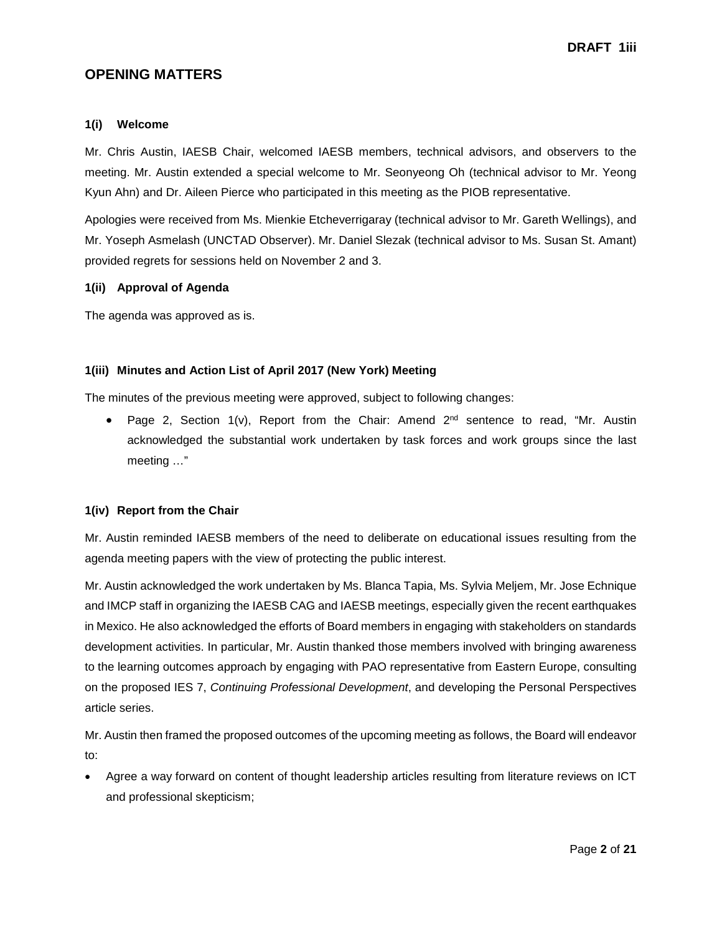### **OPENING MATTERS**

#### **1(i) Welcome**

Mr. Chris Austin, IAESB Chair, welcomed IAESB members, technical advisors, and observers to the meeting. Mr. Austin extended a special welcome to Mr. Seonyeong Oh (technical advisor to Mr. Yeong Kyun Ahn) and Dr. Aileen Pierce who participated in this meeting as the PIOB representative.

Apologies were received from Ms. Mienkie Etcheverrigaray (technical advisor to Mr. Gareth Wellings), and Mr. Yoseph Asmelash (UNCTAD Observer). Mr. Daniel Slezak (technical advisor to Ms. Susan St. Amant) provided regrets for sessions held on November 2 and 3.

### **1(ii) Approval of Agenda**

The agenda was approved as is.

### **1(iii) Minutes and Action List of April 2017 (New York) Meeting**

The minutes of the previous meeting were approved, subject to following changes:

• Page 2, Section  $1(v)$ , Report from the Chair: Amend  $2<sup>nd</sup>$  sentence to read, "Mr. Austin acknowledged the substantial work undertaken by task forces and work groups since the last meeting …"

### **1(iv) Report from the Chair**

Mr. Austin reminded IAESB members of the need to deliberate on educational issues resulting from the agenda meeting papers with the view of protecting the public interest.

Mr. Austin acknowledged the work undertaken by Ms. Blanca Tapia, Ms. Sylvia Meljem, Mr. Jose Echnique and IMCP staff in organizing the IAESB CAG and IAESB meetings, especially given the recent earthquakes in Mexico. He also acknowledged the efforts of Board members in engaging with stakeholders on standards development activities. In particular, Mr. Austin thanked those members involved with bringing awareness to the learning outcomes approach by engaging with PAO representative from Eastern Europe, consulting on the proposed IES 7, *Continuing Professional Development*, and developing the Personal Perspectives article series.

Mr. Austin then framed the proposed outcomes of the upcoming meeting as follows, the Board will endeavor to:

• Agree a way forward on content of thought leadership articles resulting from literature reviews on ICT and professional skepticism;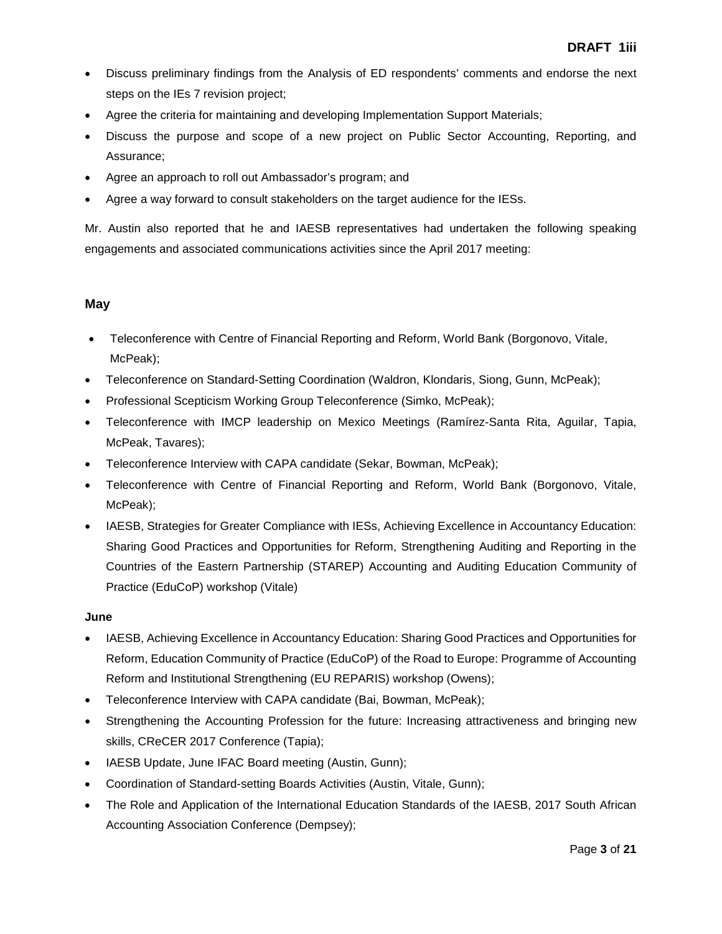- Discuss preliminary findings from the Analysis of ED respondents' comments and endorse the next steps on the IEs 7 revision project;
- Agree the criteria for maintaining and developing Implementation Support Materials;
- Discuss the purpose and scope of a new project on Public Sector Accounting, Reporting, and Assurance;
- Agree an approach to roll out Ambassador's program; and
- Agree a way forward to consult stakeholders on the target audience for the IESs.

Mr. Austin also reported that he and IAESB representatives had undertaken the following speaking engagements and associated communications activities since the April 2017 meeting:

### **May**

- Teleconference with Centre of Financial Reporting and Reform, World Bank (Borgonovo, Vitale, McPeak);
- Teleconference on Standard-Setting Coordination (Waldron, Klondaris, Siong, Gunn, McPeak);
- Professional Scepticism Working Group Teleconference (Simko, McPeak);
- Teleconference with IMCP leadership on Mexico Meetings (Ramírez-Santa Rita, Aguilar, Tapia, McPeak, Tavares);
- Teleconference Interview with CAPA candidate (Sekar, Bowman, McPeak);
- Teleconference with Centre of Financial Reporting and Reform, World Bank (Borgonovo, Vitale, McPeak);
- IAESB, Strategies for Greater Compliance with IESs, Achieving Excellence in Accountancy Education: Sharing Good Practices and Opportunities for Reform, Strengthening Auditing and Reporting in the Countries of the Eastern Partnership (STAREP) Accounting and Auditing Education Community of Practice (EduCoP) workshop (Vitale)

### **June**

- IAESB, Achieving Excellence in Accountancy Education: Sharing Good Practices and Opportunities for Reform, Education Community of Practice (EduCoP) of the Road to Europe: Programme of Accounting Reform and Institutional Strengthening (EU REPARIS) workshop (Owens);
- Teleconference Interview with CAPA candidate (Bai, Bowman, McPeak);
- Strengthening the Accounting Profession for the future: Increasing attractiveness and bringing new skills, CReCER 2017 Conference (Tapia);
- IAESB Update, June IFAC Board meeting (Austin, Gunn);
- Coordination of Standard-setting Boards Activities (Austin, Vitale, Gunn);
- The Role and Application of the International Education Standards of the IAESB, 2017 South African Accounting Association Conference (Dempsey);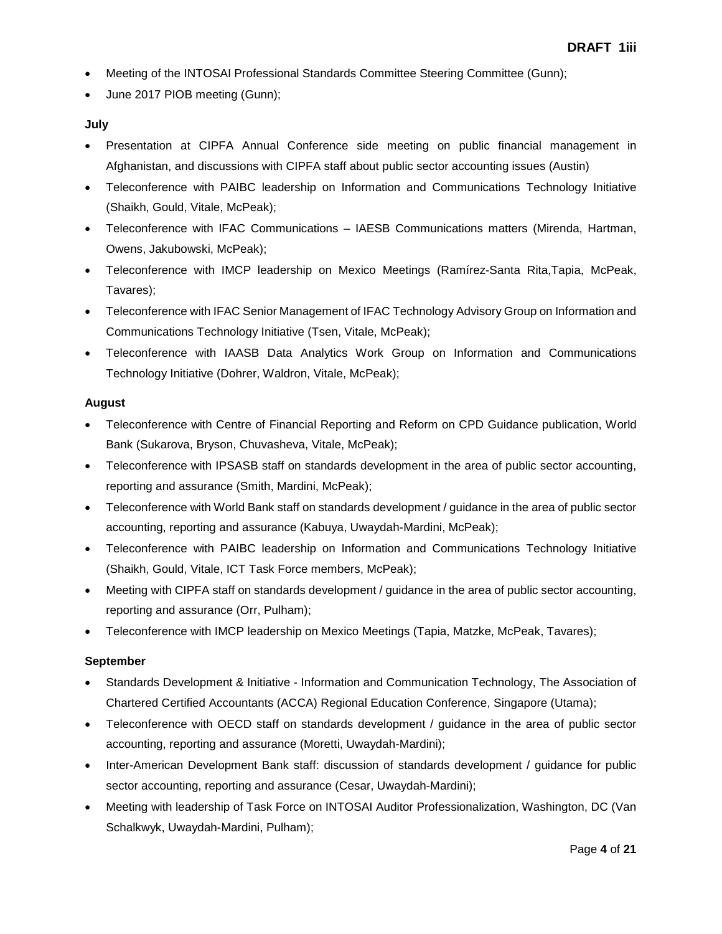- Meeting of the INTOSAI Professional Standards Committee Steering Committee (Gunn);
- June 2017 PIOB meeting (Gunn);

### **July**

- Presentation at CIPFA Annual Conference side meeting on public financial management in Afghanistan, and discussions with CIPFA staff about public sector accounting issues (Austin)
- Teleconference with PAIBC leadership on Information and Communications Technology Initiative (Shaikh, Gould, Vitale, McPeak);
- Teleconference with IFAC Communications IAESB Communications matters (Mirenda, Hartman, Owens, Jakubowski, McPeak);
- Teleconference with IMCP leadership on Mexico Meetings (Ramírez-Santa Rita,Tapia, McPeak, Tavares);
- Teleconference with IFAC Senior Management of IFAC Technology Advisory Group on Information and Communications Technology Initiative (Tsen, Vitale, McPeak);
- Teleconference with IAASB Data Analytics Work Group on Information and Communications Technology Initiative (Dohrer, Waldron, Vitale, McPeak);

### **August**

- Teleconference with Centre of Financial Reporting and Reform on CPD Guidance publication, World Bank (Sukarova, Bryson, Chuvasheva, Vitale, McPeak);
- Teleconference with IPSASB staff on standards development in the area of public sector accounting, reporting and assurance (Smith, Mardini, McPeak);
- Teleconference with World Bank staff on standards development / guidance in the area of public sector accounting, reporting and assurance (Kabuya, Uwaydah-Mardini, McPeak);
- Teleconference with PAIBC leadership on Information and Communications Technology Initiative (Shaikh, Gould, Vitale, ICT Task Force members, McPeak);
- Meeting with CIPFA staff on standards development / guidance in the area of public sector accounting, reporting and assurance (Orr, Pulham);
- Teleconference with IMCP leadership on Mexico Meetings (Tapia, Matzke, McPeak, Tavares);

### **September**

- Standards Development & Initiative Information and Communication Technology, The Association of Chartered Certified Accountants (ACCA) Regional Education Conference, Singapore (Utama);
- Teleconference with OECD staff on standards development / guidance in the area of public sector accounting, reporting and assurance (Moretti, Uwaydah-Mardini);
- Inter-American Development Bank staff: discussion of standards development / guidance for public sector accounting, reporting and assurance (Cesar, Uwaydah-Mardini);
- Meeting with leadership of Task Force on INTOSAI Auditor Professionalization, Washington, DC (Van Schalkwyk, Uwaydah-Mardini, Pulham);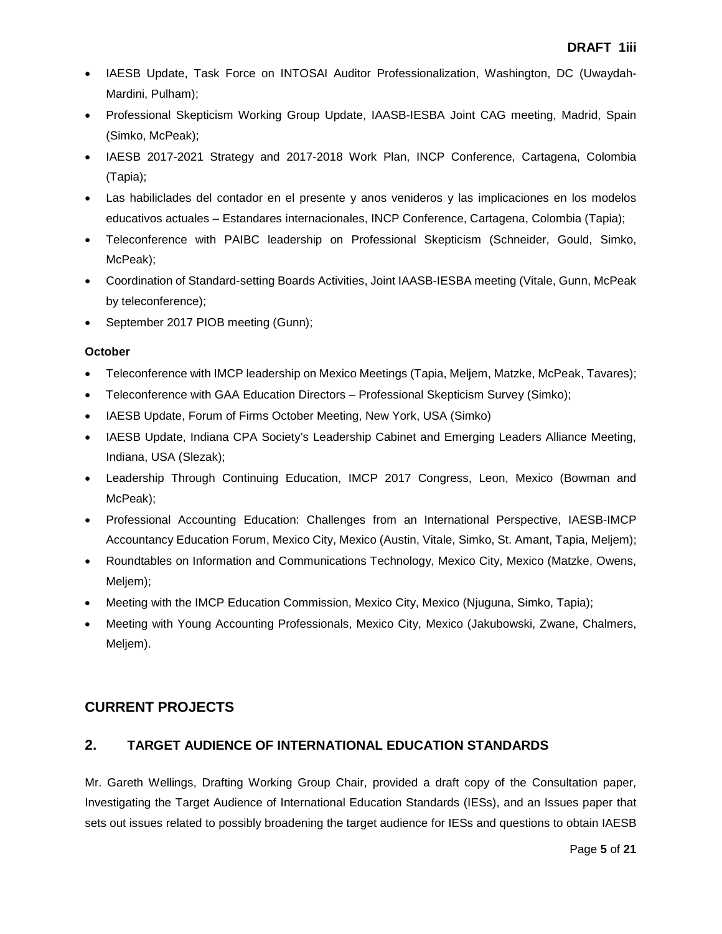- IAESB Update, Task Force on INTOSAI Auditor Professionalization, Washington, DC (Uwaydah-Mardini, Pulham);
- Professional Skepticism Working Group Update, IAASB-IESBA Joint CAG meeting, Madrid, Spain (Simko, McPeak);
- IAESB 2017-2021 Strategy and 2017-2018 Work Plan, INCP Conference, Cartagena, Colombia (Tapia);
- Las habiliclades del contador en el presente y anos venideros y las implicaciones en los modelos educativos actuales – Estandares internacionales, INCP Conference, Cartagena, Colombia (Tapia);
- Teleconference with PAIBC leadership on Professional Skepticism (Schneider, Gould, Simko, McPeak);
- Coordination of Standard-setting Boards Activities, Joint IAASB-IESBA meeting (Vitale, Gunn, McPeak by teleconference);
- September 2017 PIOB meeting (Gunn);

### **October**

- Teleconference with IMCP leadership on Mexico Meetings (Tapia, Meljem, Matzke, McPeak, Tavares);
- Teleconference with GAA Education Directors Professional Skepticism Survey (Simko);
- IAESB Update, Forum of Firms October Meeting, New York, USA (Simko)
- IAESB Update, Indiana CPA Society's Leadership Cabinet and Emerging Leaders Alliance Meeting, Indiana, USA (Slezak);
- Leadership Through Continuing Education, IMCP 2017 Congress, Leon, Mexico (Bowman and McPeak);
- Professional Accounting Education: Challenges from an International Perspective, IAESB-IMCP Accountancy Education Forum, Mexico City, Mexico (Austin, Vitale, Simko, St. Amant, Tapia, Meljem);
- Roundtables on Information and Communications Technology, Mexico City, Mexico (Matzke, Owens, Meljem);
- Meeting with the IMCP Education Commission, Mexico City, Mexico (Njuguna, Simko, Tapia);
- Meeting with Young Accounting Professionals, Mexico City, Mexico (Jakubowski, Zwane, Chalmers, Meljem).

## **CURRENT PROJECTS**

## **2. TARGET AUDIENCE OF INTERNATIONAL EDUCATION STANDARDS**

Mr. Gareth Wellings, Drafting Working Group Chair, provided a draft copy of the Consultation paper, Investigating the Target Audience of International Education Standards (IESs), and an Issues paper that sets out issues related to possibly broadening the target audience for IESs and questions to obtain IAESB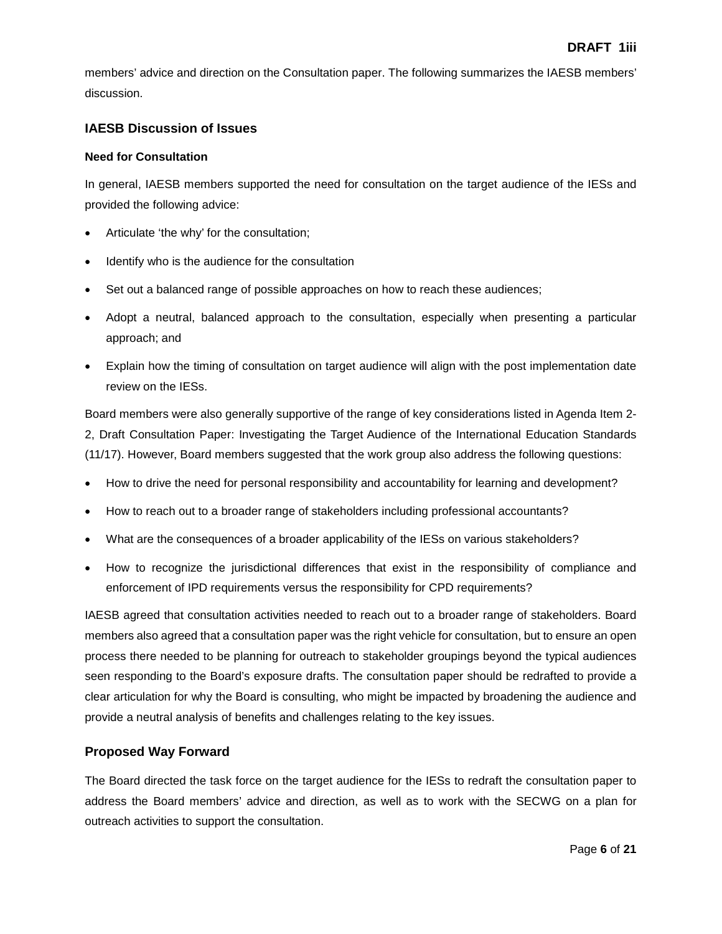members' advice and direction on the Consultation paper. The following summarizes the IAESB members' discussion.

### **IAESB Discussion of Issues**

### **Need for Consultation**

In general, IAESB members supported the need for consultation on the target audience of the IESs and provided the following advice:

- Articulate 'the why' for the consultation;
- Identify who is the audience for the consultation
- Set out a balanced range of possible approaches on how to reach these audiences;
- Adopt a neutral, balanced approach to the consultation, especially when presenting a particular approach; and
- Explain how the timing of consultation on target audience will align with the post implementation date review on the IESs.

Board members were also generally supportive of the range of key considerations listed in Agenda Item 2- 2, Draft Consultation Paper: Investigating the Target Audience of the International Education Standards (11/17). However, Board members suggested that the work group also address the following questions:

- How to drive the need for personal responsibility and accountability for learning and development?
- How to reach out to a broader range of stakeholders including professional accountants?
- What are the consequences of a broader applicability of the IESs on various stakeholders?
- How to recognize the jurisdictional differences that exist in the responsibility of compliance and enforcement of IPD requirements versus the responsibility for CPD requirements?

IAESB agreed that consultation activities needed to reach out to a broader range of stakeholders. Board members also agreed that a consultation paper was the right vehicle for consultation, but to ensure an open process there needed to be planning for outreach to stakeholder groupings beyond the typical audiences seen responding to the Board's exposure drafts. The consultation paper should be redrafted to provide a clear articulation for why the Board is consulting, who might be impacted by broadening the audience and provide a neutral analysis of benefits and challenges relating to the key issues.

### **Proposed Way Forward**

The Board directed the task force on the target audience for the IESs to redraft the consultation paper to address the Board members' advice and direction, as well as to work with the SECWG on a plan for outreach activities to support the consultation.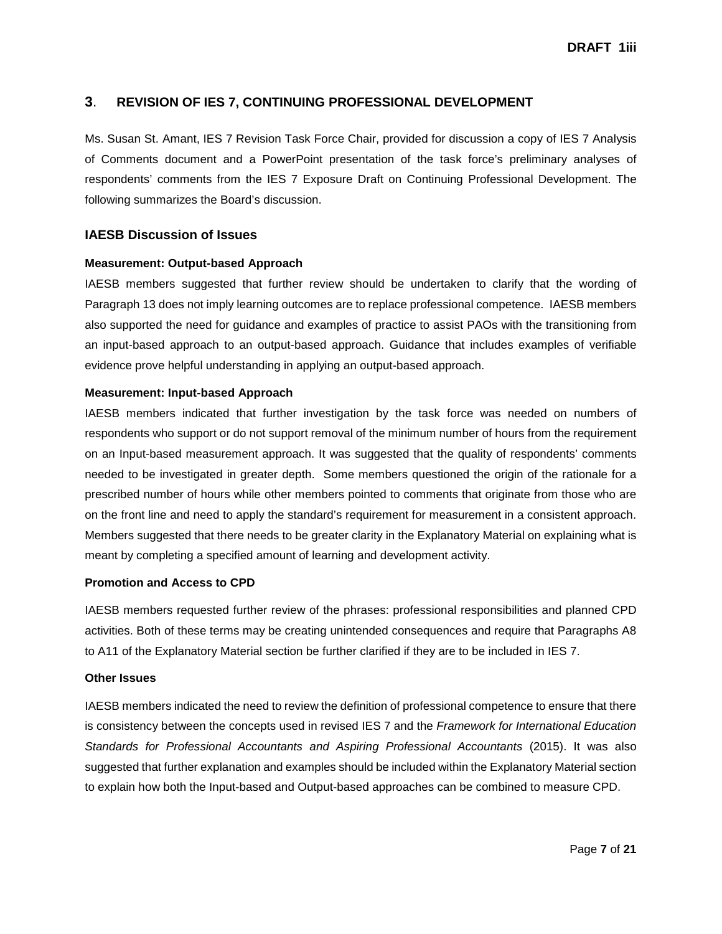### **3**. **REVISION OF IES 7, CONTINUING PROFESSIONAL DEVELOPMENT**

Ms. Susan St. Amant, IES 7 Revision Task Force Chair, provided for discussion a copy of IES 7 Analysis of Comments document and a PowerPoint presentation of the task force's preliminary analyses of respondents' comments from the IES 7 Exposure Draft on Continuing Professional Development. The following summarizes the Board's discussion.

### **IAESB Discussion of Issues**

#### **Measurement: Output-based Approach**

IAESB members suggested that further review should be undertaken to clarify that the wording of Paragraph 13 does not imply learning outcomes are to replace professional competence. IAESB members also supported the need for guidance and examples of practice to assist PAOs with the transitioning from an input-based approach to an output-based approach. Guidance that includes examples of verifiable evidence prove helpful understanding in applying an output-based approach.

#### **Measurement: Input-based Approach**

IAESB members indicated that further investigation by the task force was needed on numbers of respondents who support or do not support removal of the minimum number of hours from the requirement on an Input-based measurement approach. It was suggested that the quality of respondents' comments needed to be investigated in greater depth. Some members questioned the origin of the rationale for a prescribed number of hours while other members pointed to comments that originate from those who are on the front line and need to apply the standard's requirement for measurement in a consistent approach. Members suggested that there needs to be greater clarity in the Explanatory Material on explaining what is meant by completing a specified amount of learning and development activity.

#### **Promotion and Access to CPD**

IAESB members requested further review of the phrases: professional responsibilities and planned CPD activities. Both of these terms may be creating unintended consequences and require that Paragraphs A8 to A11 of the Explanatory Material section be further clarified if they are to be included in IES 7.

#### **Other Issues**

IAESB members indicated the need to review the definition of professional competence to ensure that there is consistency between the concepts used in revised IES 7 and the *Framework for International Education Standards for Professional Accountants and Aspiring Professional Accountants* (2015). It was also suggested that further explanation and examples should be included within the Explanatory Material section to explain how both the Input-based and Output-based approaches can be combined to measure CPD.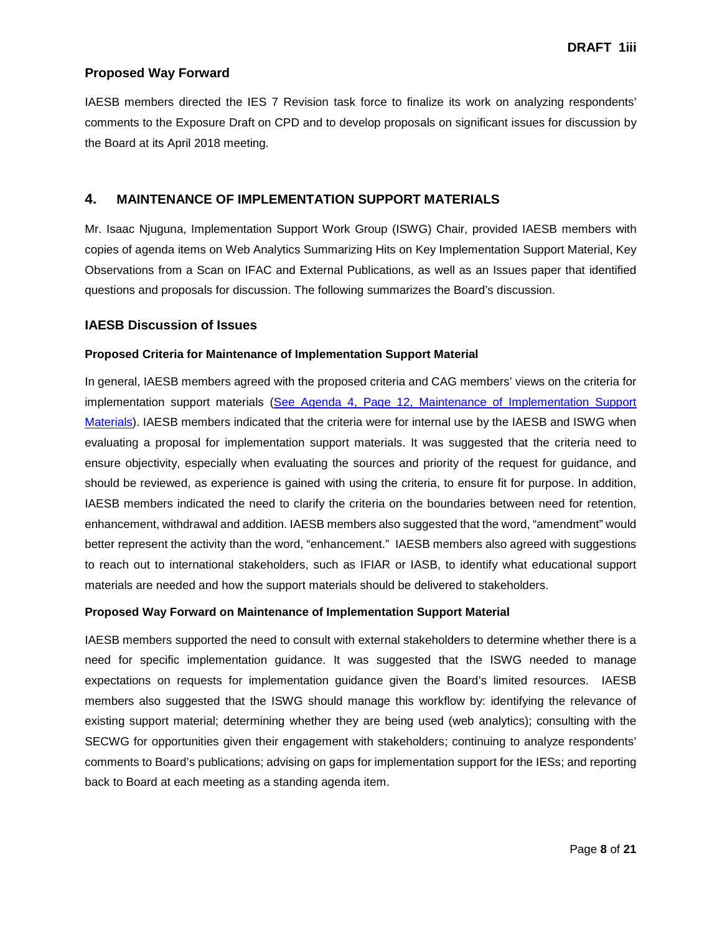### **Proposed Way Forward**

IAESB members directed the IES 7 Revision task force to finalize its work on analyzing respondents' comments to the Exposure Draft on CPD and to develop proposals on significant issues for discussion by the Board at its April 2018 meeting.

### **4. MAINTENANCE OF IMPLEMENTATION SUPPORT MATERIALS**

Mr. Isaac Njuguna, Implementation Support Work Group (ISWG) Chair, provided IAESB members with copies of agenda items on Web Analytics Summarizing Hits on Key Implementation Support Material, Key Observations from a Scan on IFAC and External Publications, as well as an Issues paper that identified questions and proposals for discussion. The following summarizes the Board's discussion.

### **IAESB Discussion of Issues**

#### **Proposed Criteria for Maintenance of Implementation Support Material**

In general, IAESB members agreed with the proposed criteria and CAG members' views on the criteria for implementation support materials [\(See Agenda 4, Page 12, Maintenance of Implementation Support](http://www.iaesb.org/system/files/meetings/files/Agenda-4-Maintenance-of-Implementation-Support-Materials.pdf)  [Materials\)](http://www.iaesb.org/system/files/meetings/files/Agenda-4-Maintenance-of-Implementation-Support-Materials.pdf). IAESB members indicated that the criteria were for internal use by the IAESB and ISWG when evaluating a proposal for implementation support materials. It was suggested that the criteria need to ensure objectivity, especially when evaluating the sources and priority of the request for guidance, and should be reviewed, as experience is gained with using the criteria, to ensure fit for purpose. In addition, IAESB members indicated the need to clarify the criteria on the boundaries between need for retention, enhancement, withdrawal and addition. IAESB members also suggested that the word, "amendment" would better represent the activity than the word, "enhancement." IAESB members also agreed with suggestions to reach out to international stakeholders, such as IFIAR or IASB, to identify what educational support materials are needed and how the support materials should be delivered to stakeholders.

#### **Proposed Way Forward on Maintenance of Implementation Support Material**

IAESB members supported the need to consult with external stakeholders to determine whether there is a need for specific implementation guidance. It was suggested that the ISWG needed to manage expectations on requests for implementation guidance given the Board's limited resources. IAESB members also suggested that the ISWG should manage this workflow by: identifying the relevance of existing support material; determining whether they are being used (web analytics); consulting with the SECWG for opportunities given their engagement with stakeholders; continuing to analyze respondents' comments to Board's publications; advising on gaps for implementation support for the IESs; and reporting back to Board at each meeting as a standing agenda item.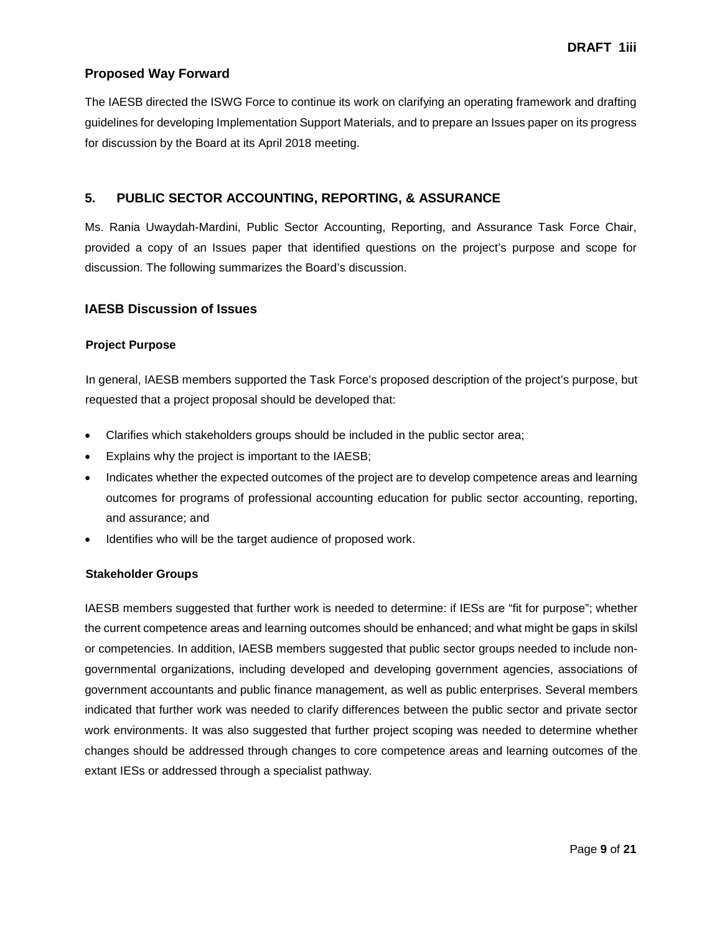### **Proposed Way Forward**

The IAESB directed the ISWG Force to continue its work on clarifying an operating framework and drafting guidelines for developing Implementation Support Materials, and to prepare an Issues paper on its progress for discussion by the Board at its April 2018 meeting.

### **5. PUBLIC SECTOR ACCOUNTING, REPORTING, & ASSURANCE**

Ms. Rania Uwaydah-Mardini, Public Sector Accounting, Reporting, and Assurance Task Force Chair, provided a copy of an Issues paper that identified questions on the project's purpose and scope for discussion. The following summarizes the Board's discussion.

### **IAESB Discussion of Issues**

### **Project Purpose**

In general, IAESB members supported the Task Force's proposed description of the project's purpose, but requested that a project proposal should be developed that:

- Clarifies which stakeholders groups should be included in the public sector area;
- Explains why the project is important to the IAESB;
- Indicates whether the expected outcomes of the project are to develop competence areas and learning outcomes for programs of professional accounting education for public sector accounting, reporting, and assurance; and
- Identifies who will be the target audience of proposed work.

#### **Stakeholder Groups**

IAESB members suggested that further work is needed to determine: if IESs are "fit for purpose"; whether the current competence areas and learning outcomes should be enhanced; and what might be gaps in skilsl or competencies. In addition, IAESB members suggested that public sector groups needed to include nongovernmental organizations, including developed and developing government agencies, associations of government accountants and public finance management, as well as public enterprises. Several members indicated that further work was needed to clarify differences between the public sector and private sector work environments. It was also suggested that further project scoping was needed to determine whether changes should be addressed through changes to core competence areas and learning outcomes of the extant IESs or addressed through a specialist pathway.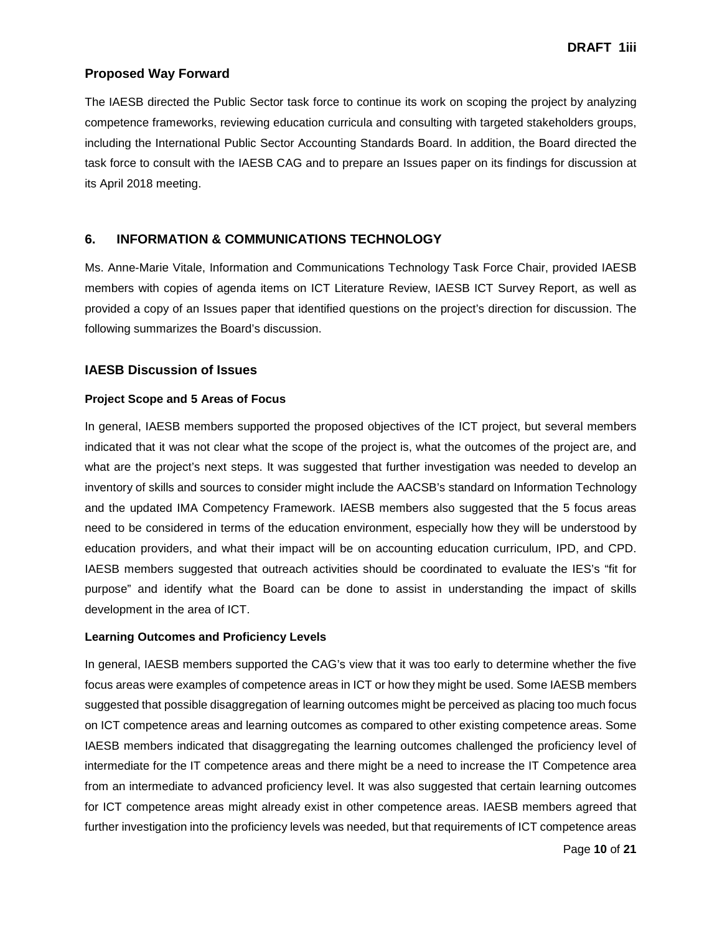### **Proposed Way Forward**

The IAESB directed the Public Sector task force to continue its work on scoping the project by analyzing competence frameworks, reviewing education curricula and consulting with targeted stakeholders groups, including the International Public Sector Accounting Standards Board. In addition, the Board directed the task force to consult with the IAESB CAG and to prepare an Issues paper on its findings for discussion at its April 2018 meeting.

### **6. INFORMATION & COMMUNICATIONS TECHNOLOGY**

Ms. Anne-Marie Vitale, Information and Communications Technology Task Force Chair, provided IAESB members with copies of agenda items on ICT Literature Review, IAESB ICT Survey Report, as well as provided a copy of an Issues paper that identified questions on the project's direction for discussion. The following summarizes the Board's discussion.

#### **IAESB Discussion of Issues**

#### **Project Scope and 5 Areas of Focus**

In general, IAESB members supported the proposed objectives of the ICT project, but several members indicated that it was not clear what the scope of the project is, what the outcomes of the project are, and what are the project's next steps. It was suggested that further investigation was needed to develop an inventory of skills and sources to consider might include the AACSB's standard on Information Technology and the updated IMA Competency Framework. IAESB members also suggested that the 5 focus areas need to be considered in terms of the education environment, especially how they will be understood by education providers, and what their impact will be on accounting education curriculum, IPD, and CPD. IAESB members suggested that outreach activities should be coordinated to evaluate the IES's "fit for purpose" and identify what the Board can be done to assist in understanding the impact of skills development in the area of ICT.

#### **Learning Outcomes and Proficiency Levels**

In general, IAESB members supported the CAG's view that it was too early to determine whether the five focus areas were examples of competence areas in ICT or how they might be used. Some IAESB members suggested that possible disaggregation of learning outcomes might be perceived as placing too much focus on ICT competence areas and learning outcomes as compared to other existing competence areas. Some IAESB members indicated that disaggregating the learning outcomes challenged the proficiency level of intermediate for the IT competence areas and there might be a need to increase the IT Competence area from an intermediate to advanced proficiency level. It was also suggested that certain learning outcomes for ICT competence areas might already exist in other competence areas. IAESB members agreed that further investigation into the proficiency levels was needed, but that requirements of ICT competence areas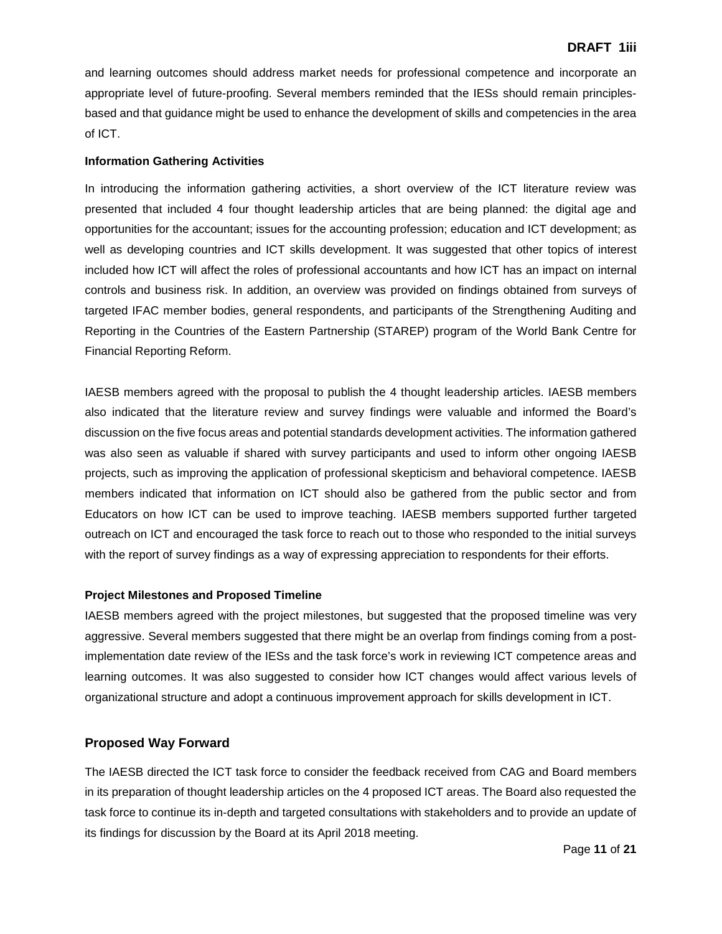and learning outcomes should address market needs for professional competence and incorporate an appropriate level of future-proofing. Several members reminded that the IESs should remain principlesbased and that guidance might be used to enhance the development of skills and competencies in the area of ICT.

#### **Information Gathering Activities**

In introducing the information gathering activities, a short overview of the ICT literature review was presented that included 4 four thought leadership articles that are being planned: the digital age and opportunities for the accountant; issues for the accounting profession; education and ICT development; as well as developing countries and ICT skills development. It was suggested that other topics of interest included how ICT will affect the roles of professional accountants and how ICT has an impact on internal controls and business risk. In addition, an overview was provided on findings obtained from surveys of targeted IFAC member bodies, general respondents, and participants of the Strengthening Auditing and Reporting in the Countries of the Eastern Partnership (STAREP) program of the World Bank Centre for Financial Reporting Reform.

IAESB members agreed with the proposal to publish the 4 thought leadership articles. IAESB members also indicated that the literature review and survey findings were valuable and informed the Board's discussion on the five focus areas and potential standards development activities. The information gathered was also seen as valuable if shared with survey participants and used to inform other ongoing IAESB projects, such as improving the application of professional skepticism and behavioral competence. IAESB members indicated that information on ICT should also be gathered from the public sector and from Educators on how ICT can be used to improve teaching. IAESB members supported further targeted outreach on ICT and encouraged the task force to reach out to those who responded to the initial surveys with the report of survey findings as a way of expressing appreciation to respondents for their efforts.

#### **Project Milestones and Proposed Timeline**

IAESB members agreed with the project milestones, but suggested that the proposed timeline was very aggressive. Several members suggested that there might be an overlap from findings coming from a postimplementation date review of the IESs and the task force's work in reviewing ICT competence areas and learning outcomes. It was also suggested to consider how ICT changes would affect various levels of organizational structure and adopt a continuous improvement approach for skills development in ICT.

### **Proposed Way Forward**

The IAESB directed the ICT task force to consider the feedback received from CAG and Board members in its preparation of thought leadership articles on the 4 proposed ICT areas. The Board also requested the task force to continue its in-depth and targeted consultations with stakeholders and to provide an update of its findings for discussion by the Board at its April 2018 meeting.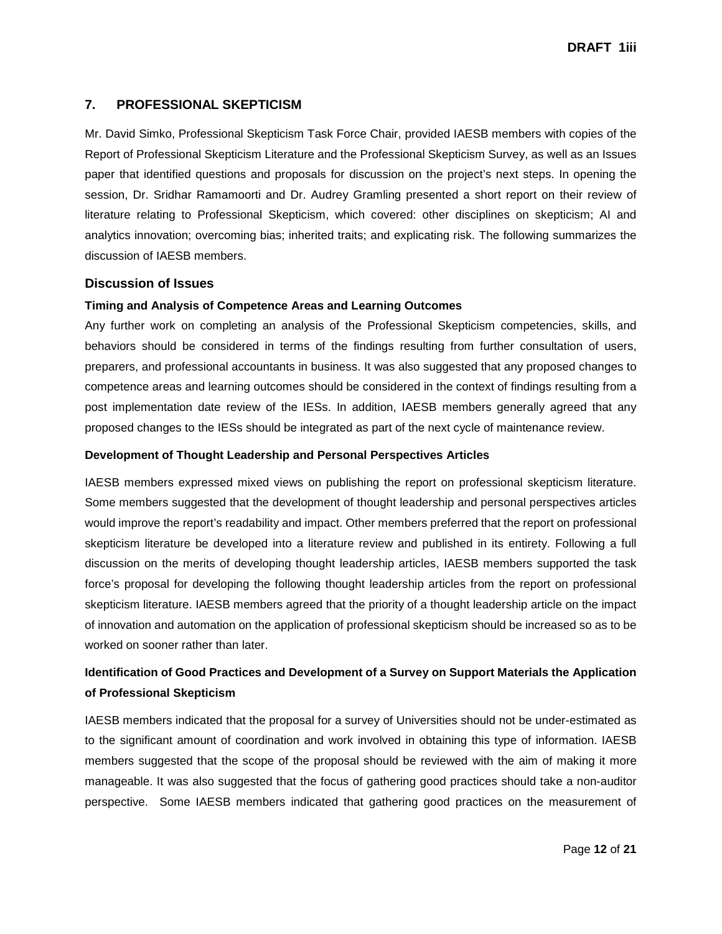### **7. PROFESSIONAL SKEPTICISM**

Mr. David Simko, Professional Skepticism Task Force Chair, provided IAESB members with copies of the Report of Professional Skepticism Literature and the Professional Skepticism Survey, as well as an Issues paper that identified questions and proposals for discussion on the project's next steps. In opening the session, Dr. Sridhar Ramamoorti and Dr. Audrey Gramling presented a short report on their review of literature relating to Professional Skepticism, which covered: other disciplines on skepticism; AI and analytics innovation; overcoming bias; inherited traits; and explicating risk. The following summarizes the discussion of IAESB members.

### **Discussion of Issues**

### **Timing and Analysis of Competence Areas and Learning Outcomes**

Any further work on completing an analysis of the Professional Skepticism competencies, skills, and behaviors should be considered in terms of the findings resulting from further consultation of users, preparers, and professional accountants in business. It was also suggested that any proposed changes to competence areas and learning outcomes should be considered in the context of findings resulting from a post implementation date review of the IESs. In addition, IAESB members generally agreed that any proposed changes to the IESs should be integrated as part of the next cycle of maintenance review.

#### **Development of Thought Leadership and Personal Perspectives Articles**

IAESB members expressed mixed views on publishing the report on professional skepticism literature. Some members suggested that the development of thought leadership and personal perspectives articles would improve the report's readability and impact. Other members preferred that the report on professional skepticism literature be developed into a literature review and published in its entirety. Following a full discussion on the merits of developing thought leadership articles, IAESB members supported the task force's proposal for developing the following thought leadership articles from the report on professional skepticism literature. IAESB members agreed that the priority of a thought leadership article on the impact of innovation and automation on the application of professional skepticism should be increased so as to be worked on sooner rather than later.

## **Identification of Good Practices and Development of a Survey on Support Materials the Application of Professional Skepticism**

IAESB members indicated that the proposal for a survey of Universities should not be under-estimated as to the significant amount of coordination and work involved in obtaining this type of information. IAESB members suggested that the scope of the proposal should be reviewed with the aim of making it more manageable. It was also suggested that the focus of gathering good practices should take a non-auditor perspective. Some IAESB members indicated that gathering good practices on the measurement of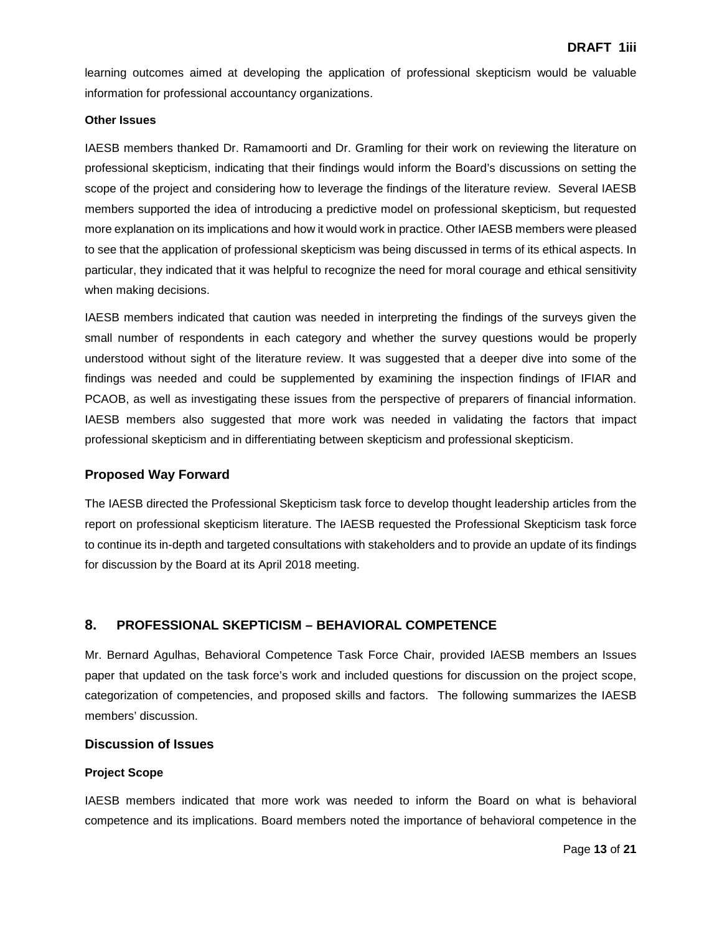learning outcomes aimed at developing the application of professional skepticism would be valuable information for professional accountancy organizations.

#### **Other Issues**

IAESB members thanked Dr. Ramamoorti and Dr. Gramling for their work on reviewing the literature on professional skepticism, indicating that their findings would inform the Board's discussions on setting the scope of the project and considering how to leverage the findings of the literature review. Several IAESB members supported the idea of introducing a predictive model on professional skepticism, but requested more explanation on its implications and how it would work in practice. Other IAESB members were pleased to see that the application of professional skepticism was being discussed in terms of its ethical aspects. In particular, they indicated that it was helpful to recognize the need for moral courage and ethical sensitivity when making decisions.

IAESB members indicated that caution was needed in interpreting the findings of the surveys given the small number of respondents in each category and whether the survey questions would be properly understood without sight of the literature review. It was suggested that a deeper dive into some of the findings was needed and could be supplemented by examining the inspection findings of IFIAR and PCAOB, as well as investigating these issues from the perspective of preparers of financial information. IAESB members also suggested that more work was needed in validating the factors that impact professional skepticism and in differentiating between skepticism and professional skepticism.

### **Proposed Way Forward**

The IAESB directed the Professional Skepticism task force to develop thought leadership articles from the report on professional skepticism literature. The IAESB requested the Professional Skepticism task force to continue its in-depth and targeted consultations with stakeholders and to provide an update of its findings for discussion by the Board at its April 2018 meeting.

### **8. PROFESSIONAL SKEPTICISM – BEHAVIORAL COMPETENCE**

Mr. Bernard Agulhas, Behavioral Competence Task Force Chair, provided IAESB members an Issues paper that updated on the task force's work and included questions for discussion on the project scope, categorization of competencies, and proposed skills and factors. The following summarizes the IAESB members' discussion.

### **Discussion of Issues**

#### **Project Scope**

IAESB members indicated that more work was needed to inform the Board on what is behavioral competence and its implications. Board members noted the importance of behavioral competence in the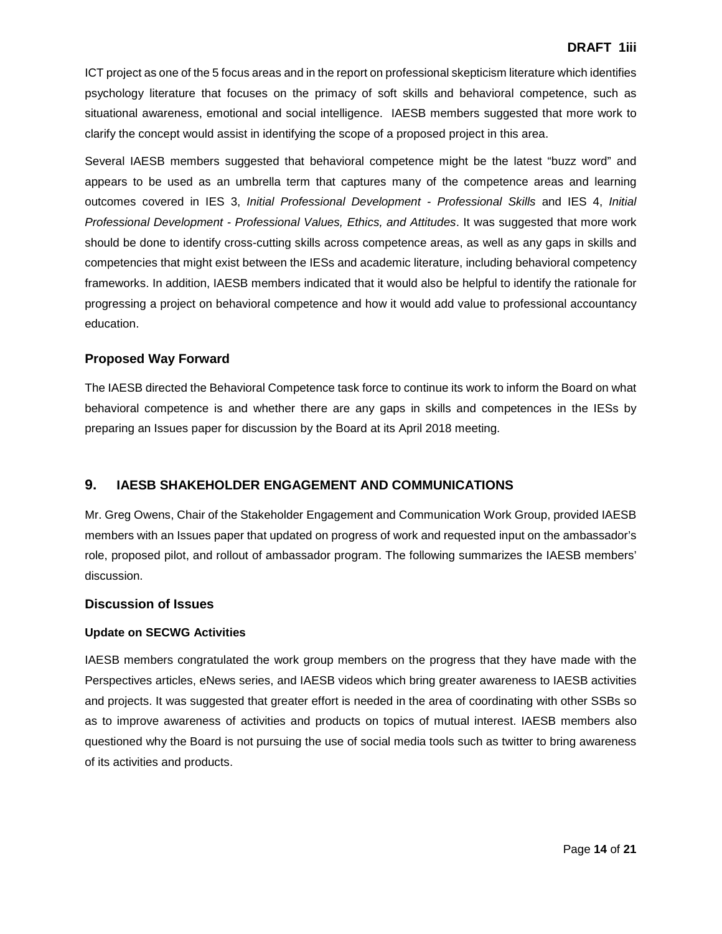ICT project as one of the 5 focus areas and in the report on professional skepticism literature which identifies psychology literature that focuses on the primacy of soft skills and behavioral competence, such as situational awareness, emotional and social intelligence. IAESB members suggested that more work to clarify the concept would assist in identifying the scope of a proposed project in this area.

Several IAESB members suggested that behavioral competence might be the latest "buzz word" and appears to be used as an umbrella term that captures many of the competence areas and learning outcomes covered in IES 3, *Initial Professional Development - Professional Skills* and IES 4, *Initial Professional Development - Professional Values, Ethics, and Attitudes*. It was suggested that more work should be done to identify cross-cutting skills across competence areas, as well as any gaps in skills and competencies that might exist between the IESs and academic literature, including behavioral competency frameworks. In addition, IAESB members indicated that it would also be helpful to identify the rationale for progressing a project on behavioral competence and how it would add value to professional accountancy education.

### **Proposed Way Forward**

The IAESB directed the Behavioral Competence task force to continue its work to inform the Board on what behavioral competence is and whether there are any gaps in skills and competences in the IESs by preparing an Issues paper for discussion by the Board at its April 2018 meeting.

### **9. IAESB SHAKEHOLDER ENGAGEMENT AND COMMUNICATIONS**

Mr. Greg Owens, Chair of the Stakeholder Engagement and Communication Work Group, provided IAESB members with an Issues paper that updated on progress of work and requested input on the ambassador's role, proposed pilot, and rollout of ambassador program. The following summarizes the IAESB members' discussion.

#### **Discussion of Issues**

#### **Update on SECWG Activities**

IAESB members congratulated the work group members on the progress that they have made with the Perspectives articles, eNews series, and IAESB videos which bring greater awareness to IAESB activities and projects. It was suggested that greater effort is needed in the area of coordinating with other SSBs so as to improve awareness of activities and products on topics of mutual interest. IAESB members also questioned why the Board is not pursuing the use of social media tools such as twitter to bring awareness of its activities and products.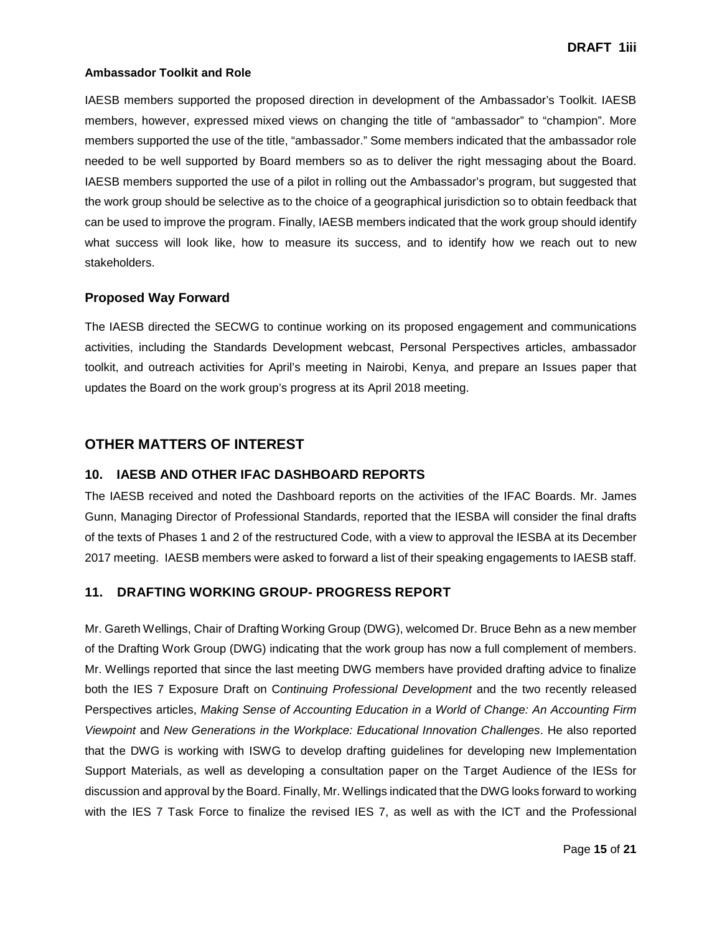#### **Ambassador Toolkit and Role**

IAESB members supported the proposed direction in development of the Ambassador's Toolkit. IAESB members, however, expressed mixed views on changing the title of "ambassador" to "champion". More members supported the use of the title, "ambassador." Some members indicated that the ambassador role needed to be well supported by Board members so as to deliver the right messaging about the Board. IAESB members supported the use of a pilot in rolling out the Ambassador's program, but suggested that the work group should be selective as to the choice of a geographical jurisdiction so to obtain feedback that can be used to improve the program. Finally, IAESB members indicated that the work group should identify what success will look like, how to measure its success, and to identify how we reach out to new stakeholders.

#### **Proposed Way Forward**

The IAESB directed the SECWG to continue working on its proposed engagement and communications activities, including the Standards Development webcast, Personal Perspectives articles, ambassador toolkit, and outreach activities for April's meeting in Nairobi, Kenya, and prepare an Issues paper that updates the Board on the work group's progress at its April 2018 meeting.

### **OTHER MATTERS OF INTEREST**

#### **10. IAESB AND OTHER IFAC DASHBOARD REPORTS**

The IAESB received and noted the Dashboard reports on the activities of the IFAC Boards. Mr. James Gunn, Managing Director of Professional Standards, reported that the IESBA will consider the final drafts of the texts of Phases 1 and 2 of the restructured Code, with a view to approval the IESBA at its December 2017 meeting. IAESB members were asked to forward a list of their speaking engagements to IAESB staff.

### **11. DRAFTING WORKING GROUP- PROGRESS REPORT**

Mr. Gareth Wellings, Chair of Drafting Working Group (DWG), welcomed Dr. Bruce Behn as a new member of the Drafting Work Group (DWG) indicating that the work group has now a full complement of members. Mr. Wellings reported that since the last meeting DWG members have provided drafting advice to finalize both the IES 7 Exposure Draft on C*ontinuing Professional Development* and the two recently released Perspectives articles, *Making Sense of Accounting Education in a World of Change: An Accounting Firm Viewpoint* and *New Generations in the Workplace: Educational Innovation Challenges*. He also reported that the DWG is working with ISWG to develop drafting guidelines for developing new Implementation Support Materials, as well as developing a consultation paper on the Target Audience of the IESs for discussion and approval by the Board. Finally, Mr. Wellings indicated that the DWG looks forward to working with the IES 7 Task Force to finalize the revised IES 7, as well as with the ICT and the Professional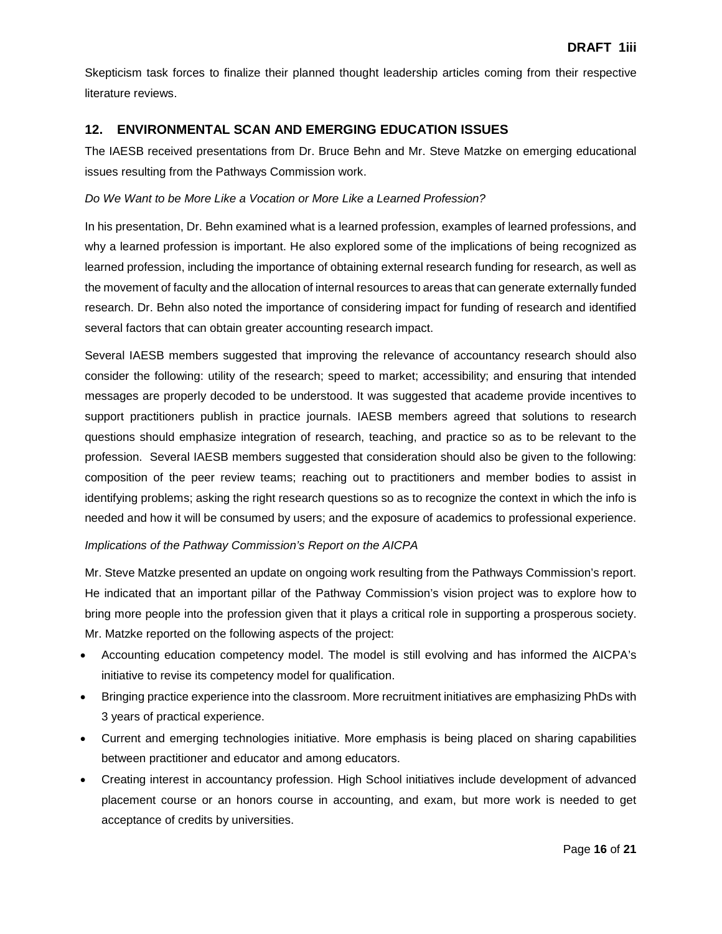Skepticism task forces to finalize their planned thought leadership articles coming from their respective literature reviews.

### **12. ENVIRONMENTAL SCAN AND EMERGING EDUCATION ISSUES**

The IAESB received presentations from Dr. Bruce Behn and Mr. Steve Matzke on emerging educational issues resulting from the Pathways Commission work.

#### *Do We Want to be More Like a Vocation or More Like a Learned Profession?*

In his presentation, Dr. Behn examined what is a learned profession, examples of learned professions, and why a learned profession is important. He also explored some of the implications of being recognized as learned profession, including the importance of obtaining external research funding for research, as well as the movement of faculty and the allocation of internal resources to areas that can generate externally funded research. Dr. Behn also noted the importance of considering impact for funding of research and identified several factors that can obtain greater accounting research impact.

Several IAESB members suggested that improving the relevance of accountancy research should also consider the following: utility of the research; speed to market; accessibility; and ensuring that intended messages are properly decoded to be understood. It was suggested that academe provide incentives to support practitioners publish in practice journals. IAESB members agreed that solutions to research questions should emphasize integration of research, teaching, and practice so as to be relevant to the profession. Several IAESB members suggested that consideration should also be given to the following: composition of the peer review teams; reaching out to practitioners and member bodies to assist in identifying problems; asking the right research questions so as to recognize the context in which the info is needed and how it will be consumed by users; and the exposure of academics to professional experience.

#### *Implications of the Pathway Commission's Report on the AICPA*

Mr. Steve Matzke presented an update on ongoing work resulting from the Pathways Commission's report. He indicated that an important pillar of the Pathway Commission's vision project was to explore how to bring more people into the profession given that it plays a critical role in supporting a prosperous society. Mr. Matzke reported on the following aspects of the project:

- Accounting education competency model. The model is still evolving and has informed the AICPA's initiative to revise its competency model for qualification.
- Bringing practice experience into the classroom. More recruitment initiatives are emphasizing PhDs with 3 years of practical experience.
- Current and emerging technologies initiative. More emphasis is being placed on sharing capabilities between practitioner and educator and among educators.
- Creating interest in accountancy profession. High School initiatives include development of advanced placement course or an honors course in accounting, and exam, but more work is needed to get acceptance of credits by universities.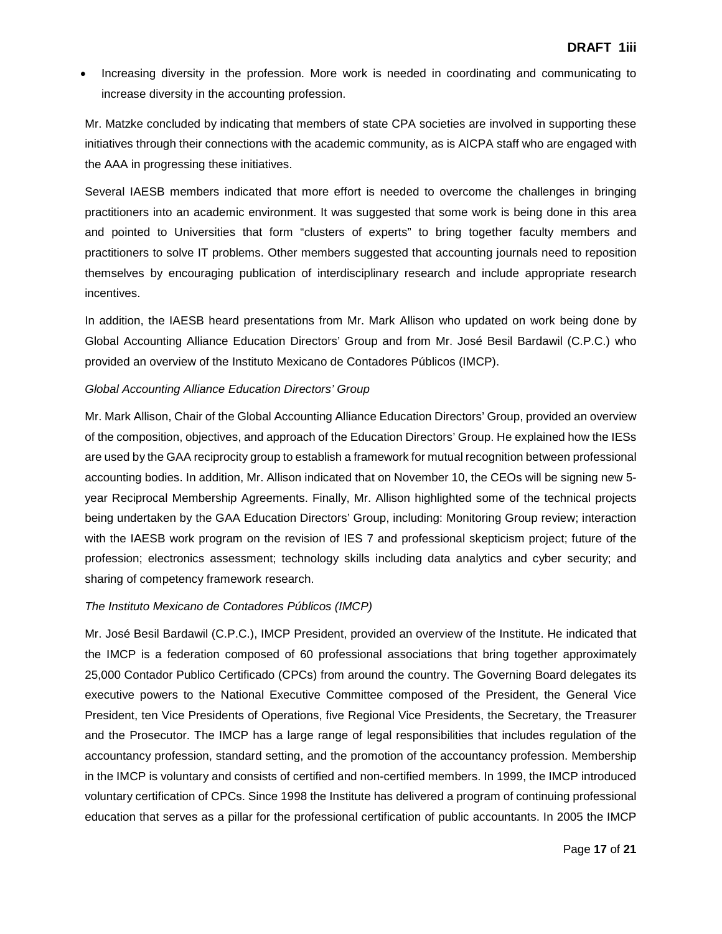• Increasing diversity in the profession. More work is needed in coordinating and communicating to increase diversity in the accounting profession.

Mr. Matzke concluded by indicating that members of state CPA societies are involved in supporting these initiatives through their connections with the academic community, as is AICPA staff who are engaged with the AAA in progressing these initiatives.

Several IAESB members indicated that more effort is needed to overcome the challenges in bringing practitioners into an academic environment. It was suggested that some work is being done in this area and pointed to Universities that form "clusters of experts" to bring together faculty members and practitioners to solve IT problems. Other members suggested that accounting journals need to reposition themselves by encouraging publication of interdisciplinary research and include appropriate research incentives.

In addition, the IAESB heard presentations from Mr. Mark Allison who updated on work being done by Global Accounting Alliance Education Directors' Group and from Mr. José Besil Bardawil (C.P.C.) who provided an overview of the Instituto Mexicano de Contadores Públicos (IMCP).

### *Global Accounting Alliance Education Directors' Group*

Mr. Mark Allison, Chair of the Global Accounting Alliance Education Directors' Group, provided an overview of the composition, objectives, and approach of the Education Directors' Group. He explained how the IESs are used by the GAA reciprocity group to establish a framework for mutual recognition between professional accounting bodies. In addition, Mr. Allison indicated that on November 10, the CEOs will be signing new 5 year Reciprocal Membership Agreements. Finally, Mr. Allison highlighted some of the technical projects being undertaken by the GAA Education Directors' Group, including: Monitoring Group review; interaction with the IAESB work program on the revision of IES 7 and professional skepticism project; future of the profession; electronics assessment; technology skills including data analytics and cyber security; and sharing of competency framework research.

### *The Instituto Mexicano de Contadores Públicos (IMCP)*

Mr. José Besil Bardawil (C.P.C.), IMCP President, provided an overview of the Institute. He indicated that the IMCP is a federation composed of 60 professional associations that bring together approximately 25,000 Contador Publico Certificado (CPCs) from around the country. The Governing Board delegates its executive powers to the National Executive Committee composed of the President, the General Vice President, ten Vice Presidents of Operations, five Regional Vice Presidents, the Secretary, the Treasurer and the Prosecutor. The IMCP has a large range of legal responsibilities that includes regulation of the accountancy profession, standard setting, and the promotion of the accountancy profession. Membership in the IMCP is voluntary and consists of certified and non-certified members. In 1999, the IMCP introduced voluntary certification of CPCs. Since 1998 the Institute has delivered a program of continuing professional education that serves as a pillar for the professional certification of public accountants. In 2005 the IMCP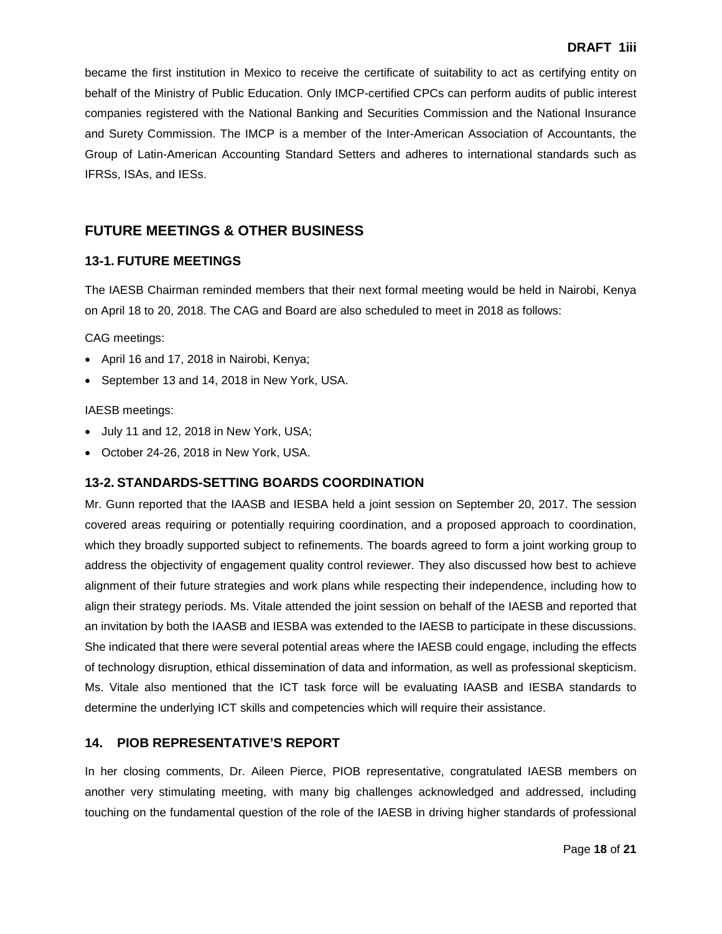became the first institution in Mexico to receive the certificate of suitability to act as certifying entity on behalf of the Ministry of Public Education. Only IMCP-certified CPCs can perform audits of public interest companies registered with the National Banking and Securities Commission and the National Insurance and Surety Commission. The IMCP is a member of the Inter-American Association of Accountants, the Group of Latin-American Accounting Standard Setters and adheres to international standards such as IFRSs, ISAs, and IESs.

## **FUTURE MEETINGS & OTHER BUSINESS**

### **13-1. FUTURE MEETINGS**

The IAESB Chairman reminded members that their next formal meeting would be held in Nairobi, Kenya on April 18 to 20, 2018. The CAG and Board are also scheduled to meet in 2018 as follows:

CAG meetings:

- April 16 and 17, 2018 in Nairobi, Kenya;
- September 13 and 14, 2018 in New York, USA.

#### IAESB meetings:

- July 11 and 12, 2018 in New York, USA;
- October 24-26, 2018 in New York, USA.

### **13-2. STANDARDS-SETTING BOARDS COORDINATION**

Mr. Gunn reported that the IAASB and IESBA held a joint session on September 20, 2017. The session covered areas requiring or potentially requiring coordination, and a proposed approach to coordination, which they broadly supported subject to refinements. The boards agreed to form a joint working group to address the objectivity of engagement quality control reviewer. They also discussed how best to achieve alignment of their future strategies and work plans while respecting their independence, including how to align their strategy periods. Ms. Vitale attended the joint session on behalf of the IAESB and reported that an invitation by both the IAASB and IESBA was extended to the IAESB to participate in these discussions. She indicated that there were several potential areas where the IAESB could engage, including the effects of technology disruption, ethical dissemination of data and information, as well as professional skepticism. Ms. Vitale also mentioned that the ICT task force will be evaluating IAASB and IESBA standards to determine the underlying ICT skills and competencies which will require their assistance.

### **14. PIOB REPRESENTATIVE'S REPORT**

In her closing comments, Dr. Aileen Pierce, PIOB representative, congratulated IAESB members on another very stimulating meeting, with many big challenges acknowledged and addressed, including touching on the fundamental question of the role of the IAESB in driving higher standards of professional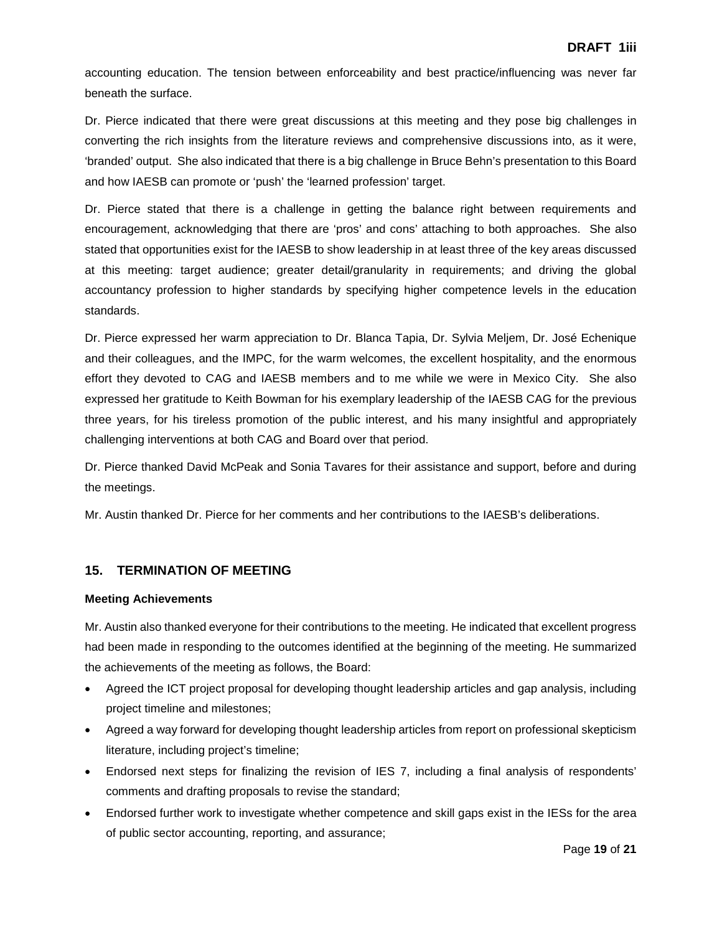accounting education. The tension between enforceability and best practice/influencing was never far beneath the surface.

Dr. Pierce indicated that there were great discussions at this meeting and they pose big challenges in converting the rich insights from the literature reviews and comprehensive discussions into, as it were, 'branded' output. She also indicated that there is a big challenge in Bruce Behn's presentation to this Board and how IAESB can promote or 'push' the 'learned profession' target.

Dr. Pierce stated that there is a challenge in getting the balance right between requirements and encouragement, acknowledging that there are 'pros' and cons' attaching to both approaches. She also stated that opportunities exist for the IAESB to show leadership in at least three of the key areas discussed at this meeting: target audience; greater detail/granularity in requirements; and driving the global accountancy profession to higher standards by specifying higher competence levels in the education standards.

Dr. Pierce expressed her warm appreciation to Dr. Blanca Tapia, Dr. Sylvia Meljem, Dr. José Echenique and their colleagues, and the IMPC, for the warm welcomes, the excellent hospitality, and the enormous effort they devoted to CAG and IAESB members and to me while we were in Mexico City. She also expressed her gratitude to Keith Bowman for his exemplary leadership of the IAESB CAG for the previous three years, for his tireless promotion of the public interest, and his many insightful and appropriately challenging interventions at both CAG and Board over that period.

Dr. Pierce thanked David McPeak and Sonia Tavares for their assistance and support, before and during the meetings.

Mr. Austin thanked Dr. Pierce for her comments and her contributions to the IAESB's deliberations.

### **15. TERMINATION OF MEETING**

#### **Meeting Achievements**

Mr. Austin also thanked everyone for their contributions to the meeting. He indicated that excellent progress had been made in responding to the outcomes identified at the beginning of the meeting. He summarized the achievements of the meeting as follows, the Board:

- Agreed the ICT project proposal for developing thought leadership articles and gap analysis, including project timeline and milestones;
- Agreed a way forward for developing thought leadership articles from report on professional skepticism literature, including project's timeline;
- Endorsed next steps for finalizing the revision of IES 7, including a final analysis of respondents' comments and drafting proposals to revise the standard;
- Endorsed further work to investigate whether competence and skill gaps exist in the IESs for the area of public sector accounting, reporting, and assurance;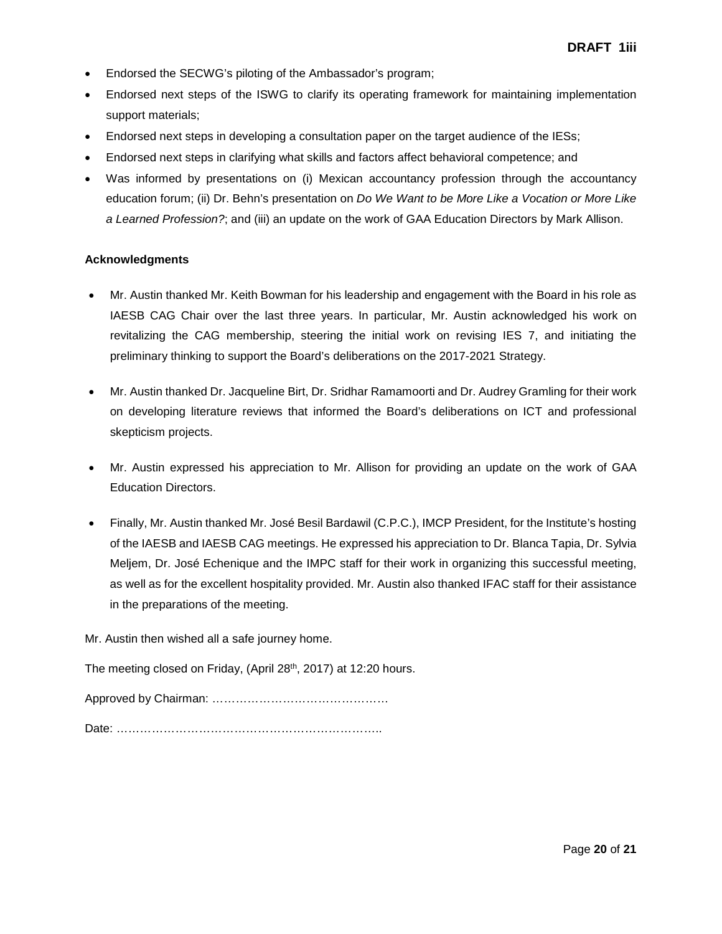- Endorsed the SECWG's piloting of the Ambassador's program;
- Endorsed next steps of the ISWG to clarify its operating framework for maintaining implementation support materials;
- Endorsed next steps in developing a consultation paper on the target audience of the IESs;
- Endorsed next steps in clarifying what skills and factors affect behavioral competence; and
- Was informed by presentations on (i) Mexican accountancy profession through the accountancy education forum; (ii) Dr. Behn's presentation on *Do We Want to be More Like a Vocation or More Like a Learned Profession?*; and (iii) an update on the work of GAA Education Directors by Mark Allison.

#### **Acknowledgments**

- Mr. Austin thanked Mr. Keith Bowman for his leadership and engagement with the Board in his role as IAESB CAG Chair over the last three years. In particular, Mr. Austin acknowledged his work on revitalizing the CAG membership, steering the initial work on revising IES 7, and initiating the preliminary thinking to support the Board's deliberations on the 2017-2021 Strategy.
- Mr. Austin thanked Dr. Jacqueline Birt, Dr. Sridhar Ramamoorti and Dr. Audrey Gramling for their work on developing literature reviews that informed the Board's deliberations on ICT and professional skepticism projects.
- Mr. Austin expressed his appreciation to Mr. Allison for providing an update on the work of GAA Education Directors.
- Finally, Mr. Austin thanked Mr. José Besil Bardawil (C.P.C.), IMCP President, for the Institute's hosting of the IAESB and IAESB CAG meetings. He expressed his appreciation to Dr. Blanca Tapia, Dr. Sylvia Meljem, Dr. José Echenique and the IMPC staff for their work in organizing this successful meeting, as well as for the excellent hospitality provided. Mr. Austin also thanked IFAC staff for their assistance in the preparations of the meeting.

Mr. Austin then wished all a safe journey home.

The meeting closed on Friday, (April 28th, 2017) at 12:20 hours.

Approved by Chairman: ………………………………………

Date: …………………………………………………………..